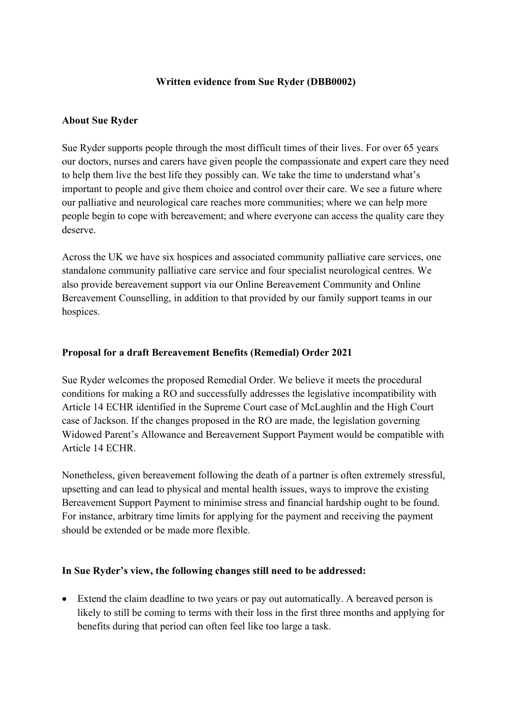## **Written evidence from Sue Ryder (DBB0002)**

## **About Sue Ryder**

Sue Ryder supports people through the most difficult times of their lives. For over 65 years our doctors, nurses and carers have given people the compassionate and expert care they need to help them live the best life they possibly can. We take the time to understand what's important to people and give them choice and control over their care. We see a future where our palliative and neurological care reaches more communities; where we can help more people begin to cope with bereavement; and where everyone can access the quality care they deserve.

Across the UK we have six hospices and associated community palliative care services, one standalone community palliative care service and four specialist neurological centres. We also provide bereavement support via our Online Bereavement Community and Online Bereavement Counselling, in addition to that provided by our family support teams in our hospices.

## **Proposal for a draft Bereavement Benefits (Remedial) Order 2021**

Sue Ryder welcomes the proposed Remedial Order. We believe it meets the procedural conditions for making a RO and successfully addresses the legislative incompatibility with Article 14 ECHR identified in the Supreme Court case of McLaughlin and the High Court case of Jackson. If the changes proposed in the RO are made, the legislation governing Widowed Parent's Allowance and Bereavement Support Payment would be compatible with Article 14 ECHR.

Nonetheless, given bereavement following the death of a partner is often extremely stressful, upsetting and can lead to physical and mental health issues, ways to improve the existing Bereavement Support Payment to minimise stress and financial hardship ought to be found. For instance, arbitrary time limits for applying for the payment and receiving the payment should be extended or be made more flexible.

## **In Sue Ryder's view, the following changes still need to be addressed:**

 Extend the claim deadline to two years or pay out automatically. A bereaved person is likely to still be coming to terms with their loss in the first three months and applying for benefits during that period can often feel like too large a task.